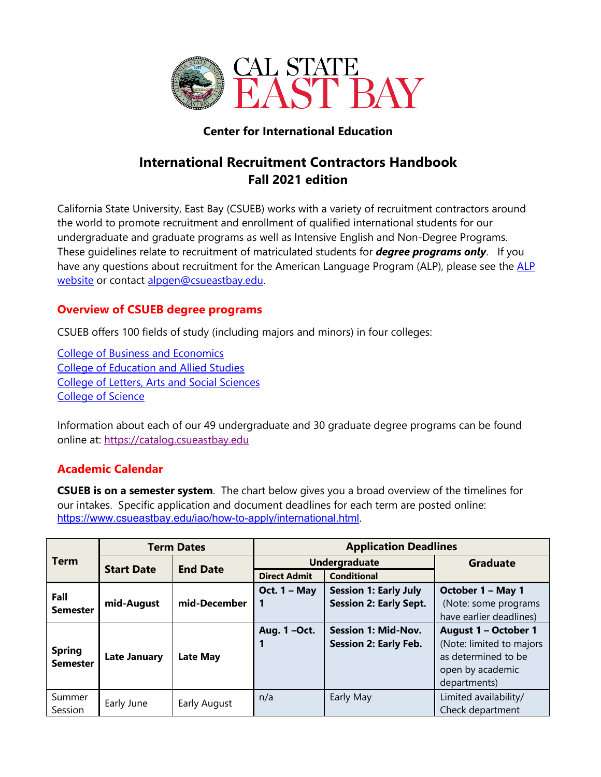

## **Center for International Education**

# **International Recruitment Contractors Handbook Fall 2021 edition**

California State University, East Bay (CSUEB) works with a variety of recruitment contractors around the world to promote recruitment and enrollment of qualified international students for our undergraduate and graduate programs as well as Intensive English and Non-Degree Programs. These guidelines relate to recruitment of matriculated students for *degree programs only*. If you have any questions about recruitment for the American Language Program (ALP), please see the ALP website or contact alpgen@csueastbay.edu.

## **Overview of CSUEB degree programs**

CSUEB offers 100 fields of study (including majors and minors) in four colleges:

College of Business and Economics College of Education and Allied Studies College of Letters, Arts and Social Sciences College of Science

Information about each of our 49 undergraduate and 30 graduate degree programs can be found online at: https://catalog.csueastbay.edu

## **Academic Calendar**

**CSUEB is on a semester system**. The chart below gives you a broad overview of the timelines for our intakes. Specific application and document deadlines for each term are posted online: https://www.csueastbay.edu/iao/how-to-apply/international.html.

| <b>Term</b>                      | <b>Term Dates</b>   |                 | <b>Application Deadlines</b> |                               |                          |  |
|----------------------------------|---------------------|-----------------|------------------------------|-------------------------------|--------------------------|--|
|                                  | <b>Start Date</b>   | <b>End Date</b> | <b>Undergraduate</b>         |                               | <b>Graduate</b>          |  |
|                                  |                     |                 | <b>Direct Admit</b>          | <b>Conditional</b>            |                          |  |
| Fall                             |                     | mid-December    | Oct. $1 - May$               | <b>Session 1: Early July</b>  | October 1 - May 1        |  |
| <b>Semester</b>                  | mid-August          |                 |                              | <b>Session 2: Early Sept.</b> | (Note: some programs     |  |
|                                  |                     |                 |                              |                               | have earlier deadlines)  |  |
|                                  |                     |                 | Aug. 1-Oct.                  | <b>Session 1: Mid-Nov.</b>    | August 1 - October 1     |  |
| <b>Spring</b><br><b>Semester</b> | <b>Late January</b> | <b>Late May</b> |                              | <b>Session 2: Early Feb.</b>  | (Note: limited to majors |  |
|                                  |                     |                 |                              |                               | as determined to be      |  |
|                                  |                     |                 |                              |                               | open by academic         |  |
|                                  |                     |                 |                              |                               | departments)             |  |
| Summer                           | Early June          | Early August    | n/a                          | Early May                     | Limited availability/    |  |
| Session                          |                     |                 |                              |                               | Check department         |  |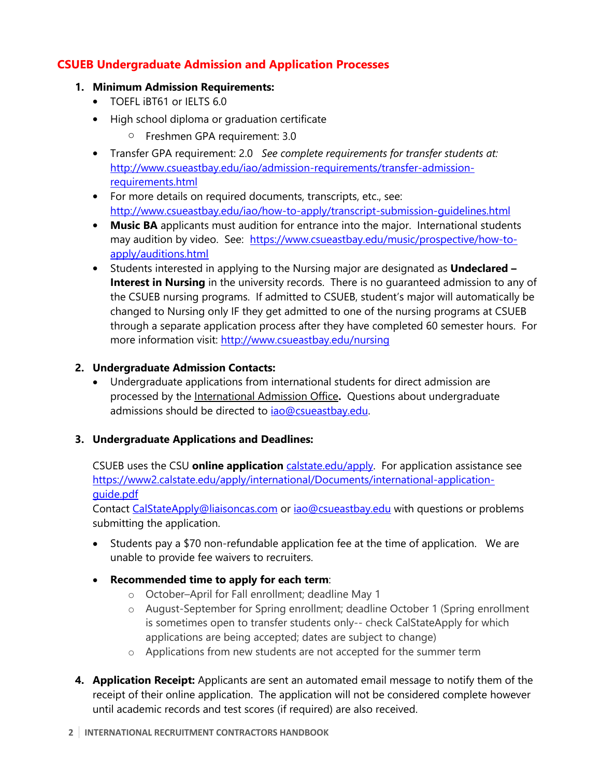## **CSUEB Undergraduate Admission and Application Processes**

### **1. Minimum Admission Requirements:**

- TOEFL iBT61 or IELTS 6.0
- High school diploma or graduation certificate
	- o Freshmen GPA requirement: 3.0
- Transfer GPA requirement: 2.0 *See complete requirements for transfer students at:* http://www.csueastbay.edu/iao/admission-requirements/transfer-admissionrequirements.html
- For more details on required documents, transcripts, etc., see: http://www.csueastbay.edu/iao/how-to-apply/transcript-submission-guidelines.html
- **Music BA** applicants must audition for entrance into the major. International students may audition by video. See: https://www.csueastbay.edu/music/prospective/how-toapply/auditions.html
- Students interested in applying to the Nursing major are designated as **Undeclared – Interest in Nursing** in the university records. There is no quaranteed admission to any of the CSUEB nursing programs. If admitted to CSUEB, student's major will automatically be changed to Nursing only IF they get admitted to one of the nursing programs at CSUEB through a separate application process after they have completed 60 semester hours. For more information visit: http://www.csueastbay.edu/nursing

## **2. Undergraduate Admission Contacts:**

• Undergraduate applications from international students for direct admission are processed by the International Admission Office**.** Questions about undergraduate admissions should be directed to *iao@csueastbay.edu.* 

## **3. Undergraduate Applications and Deadlines:**

CSUEB uses the CSU **online application** calstate.edu/apply. For application assistance see https://www2.calstate.edu/apply/international/Documents/international-applicationguide.pdf

Contact CalStateApply@liaisoncas.com or iao@csueastbay.edu with questions or problems submitting the application.

- Students pay a \$70 non-refundable application fee at the time of application. We are unable to provide fee waivers to recruiters.
- **Recommended time to apply for each term**:
	- o October–April for Fall enrollment; deadline May 1
	- o August-September for Spring enrollment; deadline October 1 (Spring enrollment is sometimes open to transfer students only-- check CalStateApply for which applications are being accepted; dates are subject to change)
	- o Applications from new students are not accepted for the summer term
- **4. Application Receipt:** Applicants are sent an automated email message to notify them of the receipt of their online application. The application will not be considered complete however until academic records and test scores (if required) are also received.

#### **2 INTERNATIONAL RECRUITMENT CONTRACTORS HANDBOOK**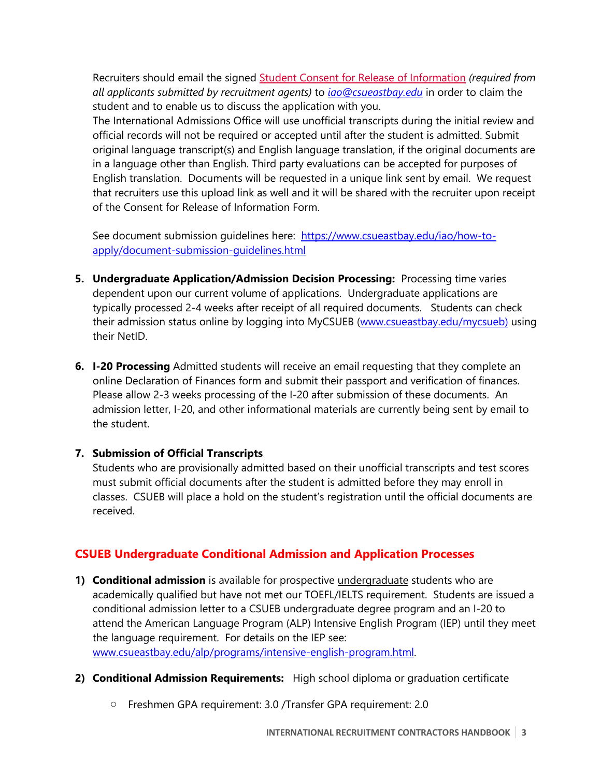Recruiters should email the signed Student Consent for Release of Information *(required from all applicants submitted by recruitment agents)* to *iao@csueastbay.edu* in order to claim the student and to enable us to discuss the application with you.

The International Admissions Office will use unofficial transcripts during the initial review and official records will not be required or accepted until after the student is admitted. Submit original language transcript(s) and English language translation, if the original documents are in a language other than English. Third party evaluations can be accepted for purposes of English translation. Documents will be requested in a unique link sent by email. We request that recruiters use this upload link as well and it will be shared with the recruiter upon receipt of the Consent for Release of Information Form.

See document submission guidelines here: https://www.csueastbay.edu/iao/how-toapply/document-submission-guidelines.html

- **5. Undergraduate Application/Admission Decision Processing:** Processing time varies dependent upon our current volume of applications. Undergraduate applications are typically processed 2-4 weeks after receipt of all required documents. Students can check their admission status online by logging into MyCSUEB (www.csueastbay.edu/mycsueb) using their NetID.
- **6. I-20 Processing** Admitted students will receive an email requesting that they complete an online Declaration of Finances form and submit their passport and verification of finances. Please allow 2-3 weeks processing of the I-20 after submission of these documents. An admission letter, I-20, and other informational materials are currently being sent by email to the student.

## **7. Submission of Official Transcripts**

Students who are provisionally admitted based on their unofficial transcripts and test scores must submit official documents after the student is admitted before they may enroll in classes. CSUEB will place a hold on the student's registration until the official documents are received.

# **CSUEB Undergraduate Conditional Admission and Application Processes**

- **1) Conditional admission** is available for prospective undergraduate students who are academically qualified but have not met our TOEFL/IELTS requirement. Students are issued a conditional admission letter to a CSUEB undergraduate degree program and an I-20 to attend the American Language Program (ALP) Intensive English Program (IEP) until they meet the language requirement. For details on the IEP see: www.csueastbay.edu/alp/programs/intensive-english-program.html.
- **2) Conditional Admission Requirements:** High school diploma or graduation certificate
	- o Freshmen GPA requirement: 3.0 /Transfer GPA requirement: 2.0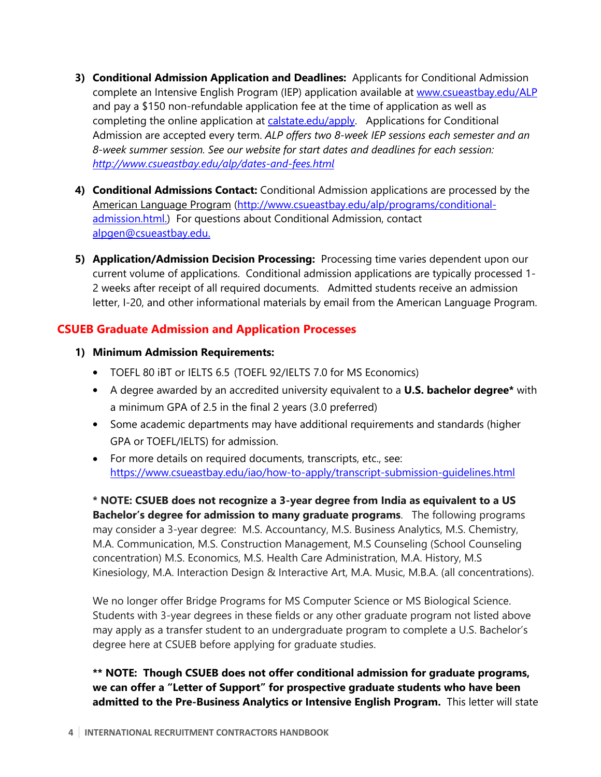- **3) Conditional Admission Application and Deadlines:** Applicants for Conditional Admission complete an Intensive English Program (IEP) application available at www.csueastbay.edu/ALP and pay a \$150 non-refundable application fee at the time of application as well as completing the online application at calstate.edu/apply. Applications for Conditional Admission are accepted every term. *ALP offers two 8-week IEP sessions each semester and an 8-week summer session. See our website for start dates and deadlines for each session: http://www.csueastbay.edu/alp/dates-and-fees.html*
- **4) Conditional Admissions Contact:** Conditional Admission applications are processed by the American Language Program (http://www.csueastbay.edu/alp/programs/conditionaladmission.html.) For questions about Conditional Admission, contact alpgen@csueastbay.edu.
- **5) Application/Admission Decision Processing:** Processing time varies dependent upon our current volume of applications. Conditional admission applications are typically processed 1- 2 weeks after receipt of all required documents. Admitted students receive an admission letter, I-20, and other informational materials by email from the American Language Program.

## **CSUEB Graduate Admission and Application Processes**

## **1) Minimum Admission Requirements:**

- TOEFL 80 iBT or IELTS 6.5 (TOEFL 92/IELTS 7.0 for MS Economics)
- A degree awarded by an accredited university equivalent to a **U.S. bachelor degree\*** with a minimum GPA of 2.5 in the final 2 years (3.0 preferred)
- Some academic departments may have additional requirements and standards (higher GPA or TOEFL/IELTS) for admission.
- For more details on required documents, transcripts, etc., see: https://www.csueastbay.edu/iao/how-to-apply/transcript-submission-guidelines.html

**\* NOTE: CSUEB does not recognize a 3-year degree from India as equivalent to a US Bachelor's degree for admission to many graduate programs**. The following programs may consider a 3-year degree: M.S. Accountancy, M.S. Business Analytics, M.S. Chemistry, M.A. Communication, M.S. Construction Management, M.S Counseling (School Counseling concentration) M.S. Economics, M.S. Health Care Administration, M.A. History, M.S Kinesiology, M.A. Interaction Design & Interactive Art, M.A. Music, M.B.A. (all concentrations).

We no longer offer Bridge Programs for MS Computer Science or MS Biological Science. Students with 3-year degrees in these fields or any other graduate program not listed above may apply as a transfer student to an undergraduate program to complete a U.S. Bachelor's degree here at CSUEB before applying for graduate studies.

**\*\* NOTE: Though CSUEB does not offer conditional admission for graduate programs, we can offer a "Letter of Support" for prospective graduate students who have been admitted to the Pre-Business Analytics or Intensive English Program.** This letter will state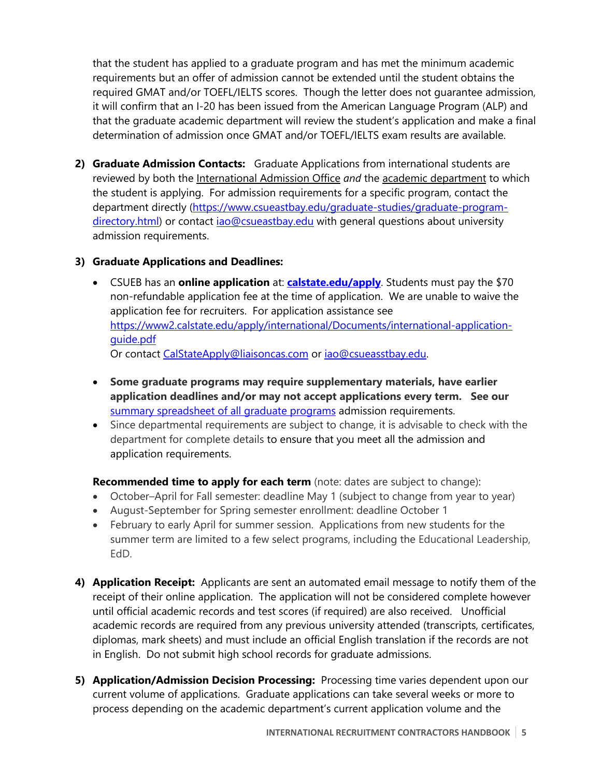that the student has applied to a graduate program and has met the minimum academic requirements but an offer of admission cannot be extended until the student obtains the required GMAT and/or TOEFL/IELTS scores. Though the letter does not guarantee admission, it will confirm that an I-20 has been issued from the American Language Program (ALP) and that the graduate academic department will review the student's application and make a final determination of admission once GMAT and/or TOEFL/IELTS exam results are available.

**2) Graduate Admission Contacts:** Graduate Applications from international students are reviewed by both the International Admission Office *and* the academic department to which the student is applying. For admission requirements for a specific program, contact the department directly (https://www.csueastbay.edu/graduate-studies/graduate-programdirectory.html) or contact iao@csueastbay.edu with general questions about university admission requirements.

## **3) Graduate Applications and Deadlines:**

- CSUEB has an **online application** at: **calstate.edu/apply**. Students must pay the \$70 non-refundable application fee at the time of application. We are unable to waive the application fee for recruiters. For application assistance see https://www2.calstate.edu/apply/international/Documents/international-applicationguide.pdf Or contact CalStateApply@liaisoncas.com or iao@csueasstbay.edu.
- **Some graduate programs may require supplementary materials, have earlier application deadlines and/or may not accept applications every term. See our**  summary spreadsheet of all graduate programs admission requirements.
- Since departmental requirements are subject to change, it is advisable to check with the department for complete details to ensure that you meet all the admission and application requirements.

**Recommended time to apply for each term** (note: dates are subject to change):

- October–April for Fall semester: deadline May 1 (subject to change from year to year)
- August-September for Spring semester enrollment: deadline October 1
- February to early April for summer session. Applications from new students for the summer term are limited to a few select programs, including the Educational Leadership, EdD.
- **4) Application Receipt:** Applicants are sent an automated email message to notify them of the receipt of their online application. The application will not be considered complete however until official academic records and test scores (if required) are also received. Unofficial academic records are required from any previous university attended (transcripts, certificates, diplomas, mark sheets) and must include an official English translation if the records are not in English. Do not submit high school records for graduate admissions.
- **5) Application/Admission Decision Processing:** Processing time varies dependent upon our current volume of applications. Graduate applications can take several weeks or more to process depending on the academic department's current application volume and the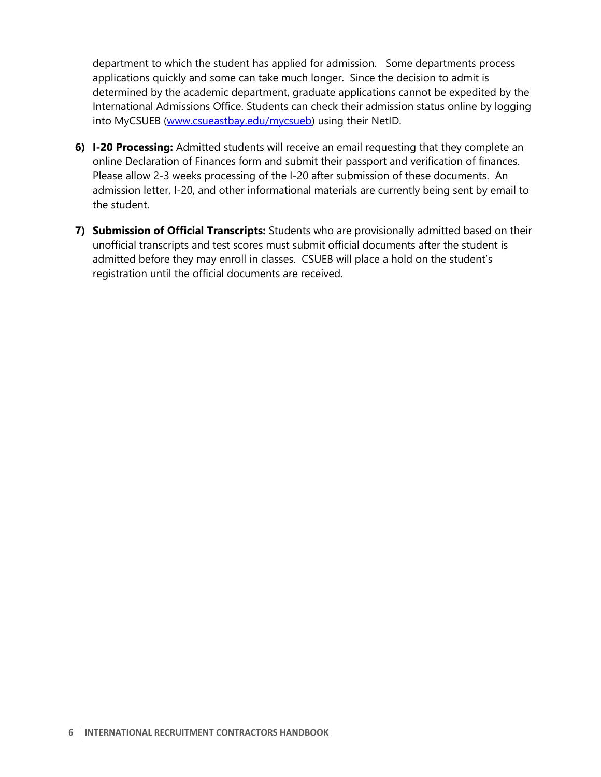department to which the student has applied for admission. Some departments process applications quickly and some can take much longer. Since the decision to admit is determined by the academic department, graduate applications cannot be expedited by the International Admissions Office. Students can check their admission status online by logging into MyCSUEB (www.csueastbay.edu/mycsueb) using their NetID.

- **6) I-20 Processing:** Admitted students will receive an email requesting that they complete an online Declaration of Finances form and submit their passport and verification of finances. Please allow 2-3 weeks processing of the I-20 after submission of these documents. An admission letter, I-20, and other informational materials are currently being sent by email to the student.
- **7) Submission of Official Transcripts:** Students who are provisionally admitted based on their unofficial transcripts and test scores must submit official documents after the student is admitted before they may enroll in classes. CSUEB will place a hold on the student's registration until the official documents are received.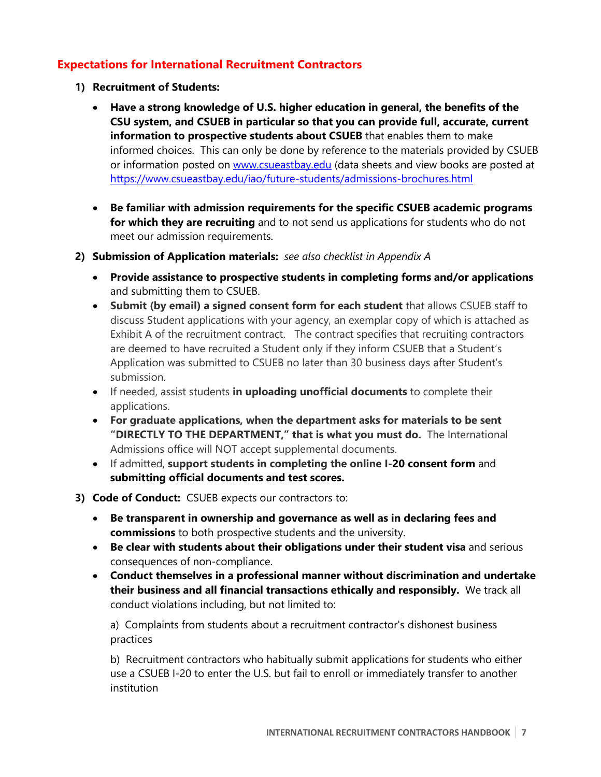## **Expectations for International Recruitment Contractors**

- **1) Recruitment of Students:**
	- **Have a strong knowledge of U.S. higher education in general, the benefits of the CSU system, and CSUEB in particular so that you can provide full, accurate, current information to prospective students about CSUEB** that enables them to make informed choices. This can only be done by reference to the materials provided by CSUEB or information posted on www.csueastbay.edu (data sheets and view books are posted at https://www.csueastbay.edu/iao/future-students/admissions-brochures.html
	- **Be familiar with admission requirements for the specific CSUEB academic programs for which they are recruiting** and to not send us applications for students who do not meet our admission requirements.
- **2) Submission of Application materials:** *see also checklist in Appendix A*
	- **Provide assistance to prospective students in completing forms and/or applications** and submitting them to CSUEB.
	- **Submit (by email) a signed consent form for each student** that allows CSUEB staff to discuss Student applications with your agency, an exemplar copy of which is attached as Exhibit A of the recruitment contract.The contract specifies that recruiting contractors are deemed to have recruited a Student only if they inform CSUEB that a Student's Application was submitted to CSUEB no later than 30 business days after Student's submission.
	- If needed, assist students **in uploading unofficial documents** to complete their applications.
	- **For graduate applications, when the department asks for materials to be sent "DIRECTLY TO THE DEPARTMENT," that is what you must do.** The International Admissions office will NOT accept supplemental documents.
	- If admitted, **support students in completing the online I-20 consent form** and **submitting official documents and test scores.**
- **3) Code of Conduct:** CSUEB expects our contractors to:
	- **Be transparent in ownership and governance as well as in declaring fees and commissions** to both prospective students and the university.
	- **Be clear with students about their obligations under their student visa** and serious consequences of non-compliance.
	- **Conduct themselves in a professional manner without discrimination and undertake their business and all financial transactions ethically and responsibly.** We track all conduct violations including, but not limited to:

a) Complaints from students about a recruitment contractor's dishonest business practices

b) Recruitment contractors who habitually submit applications for students who either use a CSUEB I-20 to enter the U.S. but fail to enroll or immediately transfer to another institution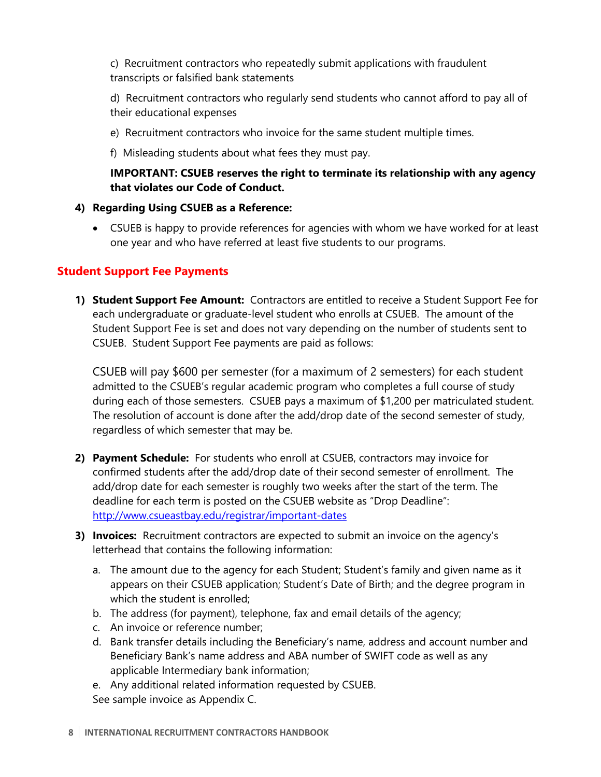c) Recruitment contractors who repeatedly submit applications with fraudulent transcripts or falsified bank statements

d) Recruitment contractors who regularly send students who cannot afford to pay all of their educational expenses

- e) Recruitment contractors who invoice for the same student multiple times.
- f) Misleading students about what fees they must pay.

## **IMPORTANT: CSUEB reserves the right to terminate its relationship with any agency that violates our Code of Conduct.**

#### **4) Regarding Using CSUEB as a Reference:**

• CSUEB is happy to provide references for agencies with whom we have worked for at least one year and who have referred at least five students to our programs.

## **Student Support Fee Payments**

**1) Student Support Fee Amount:** Contractors are entitled to receive a Student Support Fee for each undergraduate or graduate-level student who enrolls at CSUEB. The amount of the Student Support Fee is set and does not vary depending on the number of students sent to CSUEB. Student Support Fee payments are paid as follows:

CSUEB will pay \$600 per semester (for a maximum of 2 semesters) for each student admitted to the CSUEB's regular academic program who completes a full course of study during each of those semesters. CSUEB pays a maximum of \$1,200 per matriculated student. The resolution of account is done after the add/drop date of the second semester of study, regardless of which semester that may be.

- **2) Payment Schedule:** For students who enroll at CSUEB, contractors may invoice for confirmed students after the add/drop date of their second semester of enrollment. The add/drop date for each semester is roughly two weeks after the start of the term. The deadline for each term is posted on the CSUEB website as "Drop Deadline": http://www.csueastbay.edu/registrar/important-dates
- **3) Invoices:** Recruitment contractors are expected to submit an invoice on the agency's letterhead that contains the following information:
	- a. The amount due to the agency for each Student; Student's family and given name as it appears on their CSUEB application; Student's Date of Birth; and the degree program in which the student is enrolled;
	- b. The address (for payment), telephone, fax and email details of the agency;
	- c. An invoice or reference number;
	- d. Bank transfer details including the Beneficiary's name, address and account number and Beneficiary Bank's name address and ABA number of SWIFT code as well as any applicable Intermediary bank information;
	- e. Any additional related information requested by CSUEB. See sample invoice as Appendix C.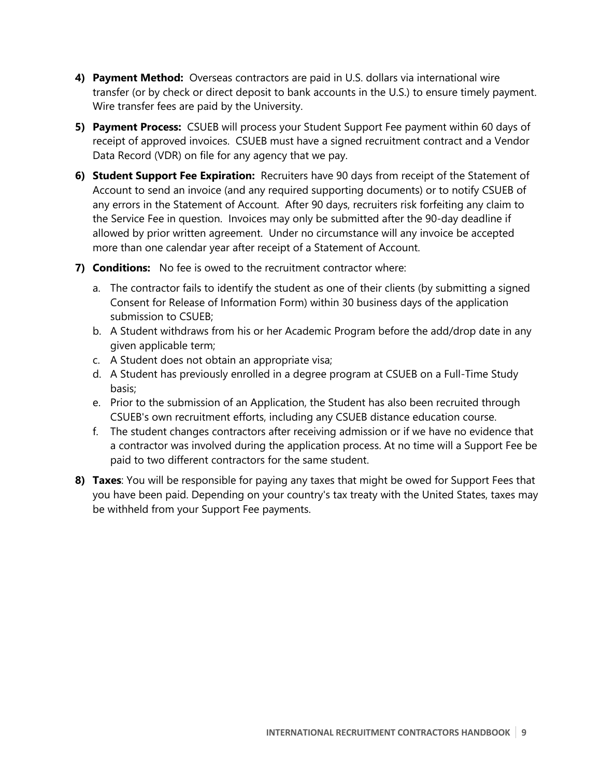- **4) Payment Method:** Overseas contractors are paid in U.S. dollars via international wire transfer (or by check or direct deposit to bank accounts in the U.S.) to ensure timely payment. Wire transfer fees are paid by the University.
- **5) Payment Process:** CSUEB will process your Student Support Fee payment within 60 days of receipt of approved invoices. CSUEB must have a signed recruitment contract and a Vendor Data Record (VDR) on file for any agency that we pay.
- **6) Student Support Fee Expiration:** Recruiters have 90 days from receipt of the Statement of Account to send an invoice (and any required supporting documents) or to notify CSUEB of any errors in the Statement of Account. After 90 days, recruiters risk forfeiting any claim to the Service Fee in question. Invoices may only be submitted after the 90-day deadline if allowed by prior written agreement. Under no circumstance will any invoice be accepted more than one calendar year after receipt of a Statement of Account.
- **7) Conditions:** No fee is owed to the recruitment contractor where:
	- a. The contractor fails to identify the student as one of their clients (by submitting a signed Consent for Release of Information Form) within 30 business days of the application submission to CSUEB;
	- b. A Student withdraws from his or her Academic Program before the add/drop date in any given applicable term;
	- c. A Student does not obtain an appropriate visa;
	- d. A Student has previously enrolled in a degree program at CSUEB on a Full-Time Study basis;
	- e. Prior to the submission of an Application, the Student has also been recruited through CSUEB's own recruitment efforts, including any CSUEB distance education course.
	- f. The student changes contractors after receiving admission or if we have no evidence that a contractor was involved during the application process. At no time will a Support Fee be paid to two different contractors for the same student.
- **8) Taxes**: You will be responsible for paying any taxes that might be owed for Support Fees that you have been paid. Depending on your country's tax treaty with the United States, taxes may be withheld from your Support Fee payments.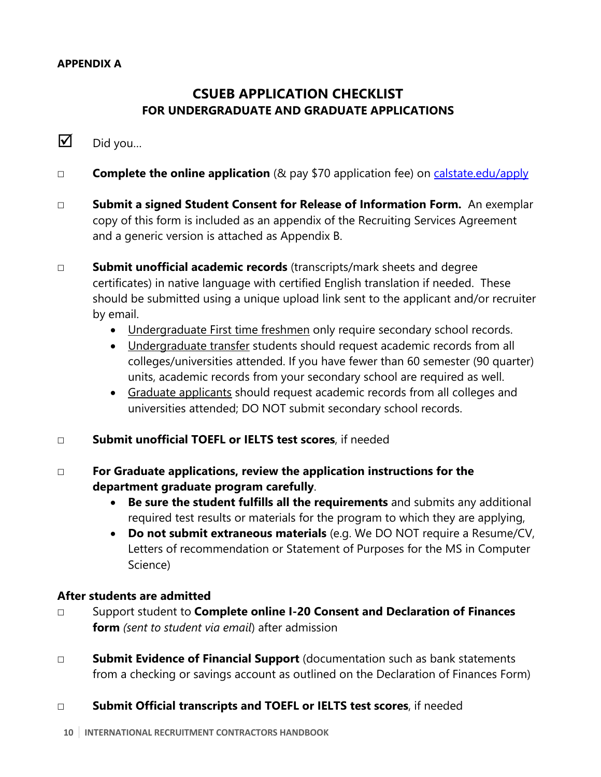## **APPENDIX A**

# **CSUEB APPLICATION CHECKLIST FOR UNDERGRADUATE AND GRADUATE APPLICATIONS**

# $\nabla$  Did you...

- ☐ **Complete the online application** (& pay \$70 application fee) on calstate.edu/apply
- ☐ **Submit a signed Student Consent for Release of Information Form.** An exemplar copy of this form is included as an appendix of the Recruiting Services Agreement and a generic version is attached as Appendix B.
- ☐ **Submit unofficial academic records** (transcripts/mark sheets and degree certificates) in native language with certified English translation if needed. These should be submitted using a unique upload link sent to the applicant and/or recruiter by email.
	- Undergraduate First time freshmen only require secondary school records.
	- Undergraduate transfer students should request academic records from all colleges/universities attended. If you have fewer than 60 semester (90 quarter) units, academic records from your secondary school are required as well.
	- Graduate applicants should request academic records from all colleges and universities attended; DO NOT submit secondary school records.
- ☐ **Submit unofficial TOEFL or IELTS test scores**, if needed
- ☐ **For Graduate applications, review the application instructions for the department graduate program carefully**.
	- **Be sure the student fulfills all the requirements** and submits any additional required test results or materials for the program to which they are applying,
	- **Do not submit extraneous materials** (e.g. We DO NOT require a Resume/CV, Letters of recommendation or Statement of Purposes for the MS in Computer Science)

## **After students are admitted**

- ☐ Support student to **Complete online I-20 Consent and Declaration of Finances form** *(sent to student via email*) after admission
- ☐ **Submit Evidence of Financial Support** (documentation such as bank statements from a checking or savings account as outlined on the Declaration of Finances Form)

## ☐ **Submit Official transcripts and TOEFL or IELTS test scores**, if needed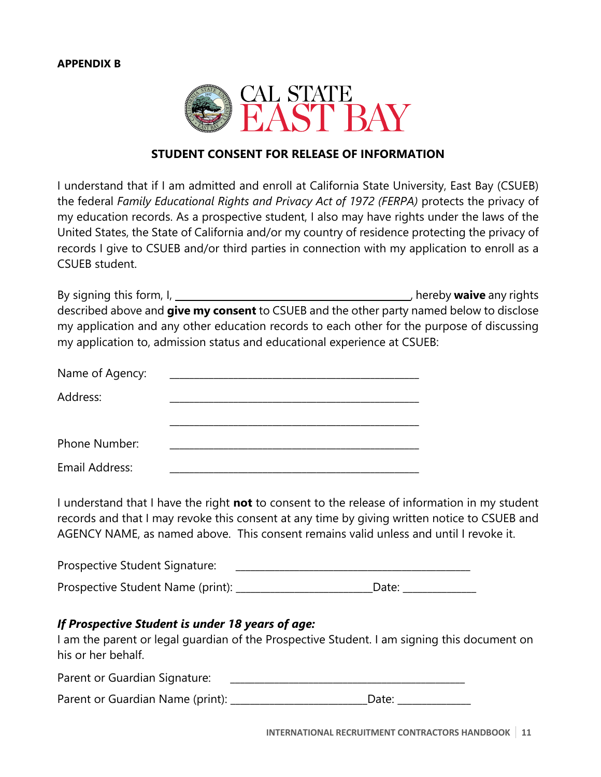

#### **STUDENT CONSENT FOR RELEASE OF INFORMATION**

I understand that if I am admitted and enroll at California State University, East Bay (CSUEB) the federal *Family Educational Rights and Privacy Act of 1972 (FERPA)* protects the privacy of my education records. As a prospective student, I also may have rights under the laws of the United States, the State of California and/or my country of residence protecting the privacy of records I give to CSUEB and/or third parties in connection with my application to enroll as a CSUEB student.

By signing this form, I, **hereby waive** any rights described above and **give my consent** to CSUEB and the other party named below to disclose my application and any other education records to each other for the purpose of discussing my application to, admission status and educational experience at CSUEB:

| Name of Agency: |  |
|-----------------|--|
| Address:        |  |
|                 |  |
| Phone Number:   |  |
| Email Address:  |  |

I understand that I have the right **not** to consent to the release of information in my student records and that I may revoke this consent at any time by giving written notice to CSUEB and AGENCY NAME, as named above. This consent remains valid unless and until I revoke it.

| Prospective Student Signature:    |                   |
|-----------------------------------|-------------------|
| Prospective Student Name (print): | Date <sup>.</sup> |

#### *If Prospective Student is under 18 years of age:*

I am the parent or legal guardian of the Prospective Student. I am signing this document on his or her behalf.

Parent or Guardian Signature:

Parent or Guardian Name (print): \_\_\_\_\_\_\_\_\_\_\_\_\_\_\_\_\_\_\_\_\_\_\_\_\_\_\_\_\_\_\_Date: \_\_\_\_\_\_\_\_\_\_\_